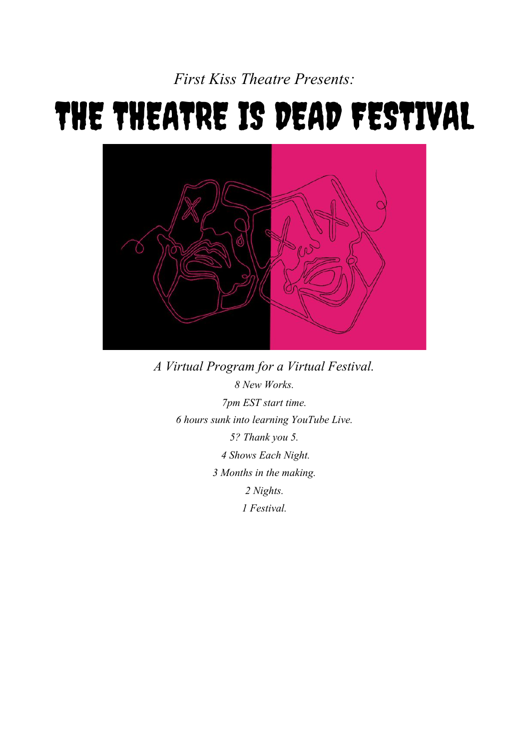*First Kiss Theatre Presents:*

# THE THEATRE IS DEAD FESTIVAL



*A Virtual Program for a Virtual Festival. 8 New Works. 7pm EST start time. 6 hours sunk into learning YouTube Live. 5? Thank you 5. 4 Shows Each Night. 3 Months in the making. 2 Nights. 1 Festival.*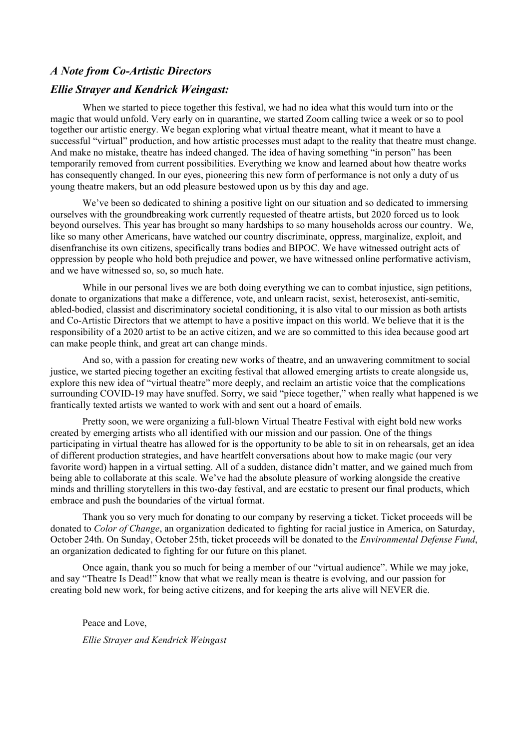#### *A Note from Co-Artistic Directors*

#### *Ellie Strayer and Kendrick Weingast:*

When we started to piece together this festival, we had no idea what this would turn into or the magic that would unfold. Very early on in quarantine, we started Zoom calling twice a week or so to pool together our artistic energy. We began exploring what virtual theatre meant, what it meant to have a successful "virtual" production, and how artistic processes must adapt to the reality that theatre must change. And make no mistake, theatre has indeed changed. The idea of having something "in person" has been temporarily removed from current possibilities. Everything we know and learned about how theatre works has consequently changed. In our eyes, pioneering this new form of performance is not only a duty of us young theatre makers, but an odd pleasure bestowed upon us by this day and age.

We've been so dedicated to shining a positive light on our situation and so dedicated to immersing ourselves with the groundbreaking work currently requested of theatre artists, but 2020 forced us to look beyond ourselves. This year has brought so many hardships to so many households across our country. We, like so many other Americans, have watched our country discriminate, oppress, marginalize, exploit, and disenfranchise its own citizens, specifically trans bodies and BIPOC. We have witnessed outright acts of oppression by people who hold both prejudice and power, we have witnessed online performative activism, and we have witnessed so, so, so much hate.

While in our personal lives we are both doing everything we can to combat injustice, sign petitions, donate to organizations that make a difference, vote, and unlearn racist, sexist, heterosexist, anti-semitic, abled-bodied, classist and discriminatory societal conditioning, it is also vital to our mission as both artists and Co-Artistic Directors that we attempt to have a positive impact on this world. We believe that it is the responsibility of a 2020 artist to be an active citizen, and we are so committed to this idea because good art can make people think, and great art can change minds.

And so, with a passion for creating new works of theatre, and an unwavering commitment to social justice, we started piecing together an exciting festival that allowed emerging artists to create alongside us, explore this new idea of "virtual theatre" more deeply, and reclaim an artistic voice that the complications surrounding COVID-19 may have snuffed. Sorry, we said "piece together," when really what happened is we frantically texted artists we wanted to work with and sent out a hoard of emails.

Pretty soon, we were organizing a full-blown Virtual Theatre Festival with eight bold new works created by emerging artists who all identified with our mission and our passion. One of the things participating in virtual theatre has allowed for is the opportunity to be able to sit in on rehearsals, get an idea of different production strategies, and have heartfelt conversations about how to make magic (our very favorite word) happen in a virtual setting. All of a sudden, distance didn't matter, and we gained much from being able to collaborate at this scale. We've had the absolute pleasure of working alongside the creative minds and thrilling storytellers in this two-day festival, and are ecstatic to present our final products, which embrace and push the boundaries of the virtual format.

Thank you so very much for donating to our company by reserving a ticket. Ticket proceeds will be donated to *Color of Change*, an organization dedicated to fighting for racial justice in America, on Saturday, October 24th. On Sunday, October 25th, ticket proceeds will be donated to the *Environmental Defense Fund*, an organization dedicated to fighting for our future on this planet.

Once again, thank you so much for being a member of our "virtual audience". While we may joke, and say "Theatre Is Dead!" know that what we really mean is theatre is evolving, and our passion for creating bold new work, for being active citizens, and for keeping the arts alive will NEVER die.

Peace and Love, *Ellie Strayer and Kendrick Weingast*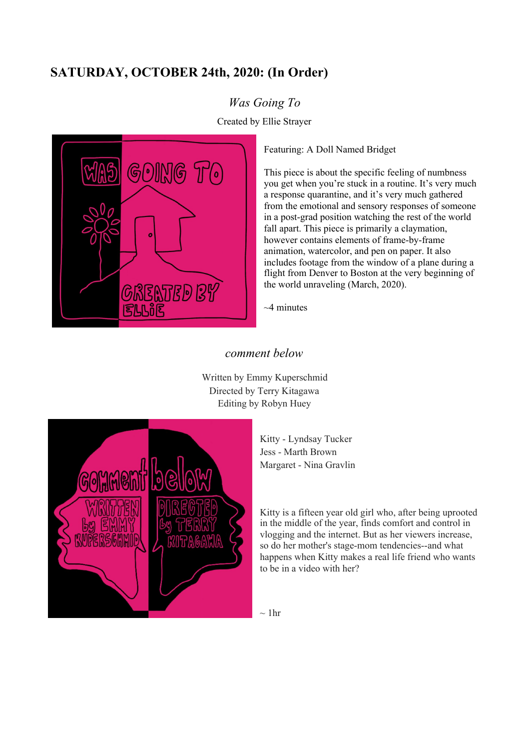# **SATURDAY, OCTOBER 24th, 2020: (In Order)**

### *Was Going To*

Created by Ellie Strayer



Featuring: A Doll Named Bridget

This piece is about the specific feeling of numbness you get when you're stuck in a routine. It's very much a response quarantine, and it's very much gathered from the emotional and sensory responses of someone in a post-grad position watching the rest of the world fall apart. This piece is primarily a claymation, however contains elements of frame-by-frame animation, watercolor, and pen on paper. It also includes footage from the window of a plane during a flight from Denver to Boston at the very beginning of the world unraveling (March, 2020).

~4 minutes

#### *comment below*

Written by Emmy Kuperschmid Directed by Terry Kitagawa Editing by Robyn Huey



Kitty - Lyndsay Tucker Jess - Marth Brown Margaret - Nina Gravlin

Kitty is a fifteen year old girl who, after being uprooted in the middle of the year, finds comfort and control in vlogging and the internet. But as her viewers increase, so do her mother's stage-mom tendencies--and what happens when Kitty makes a real life friend who wants to be in a video with her?

 $\sim$  1hr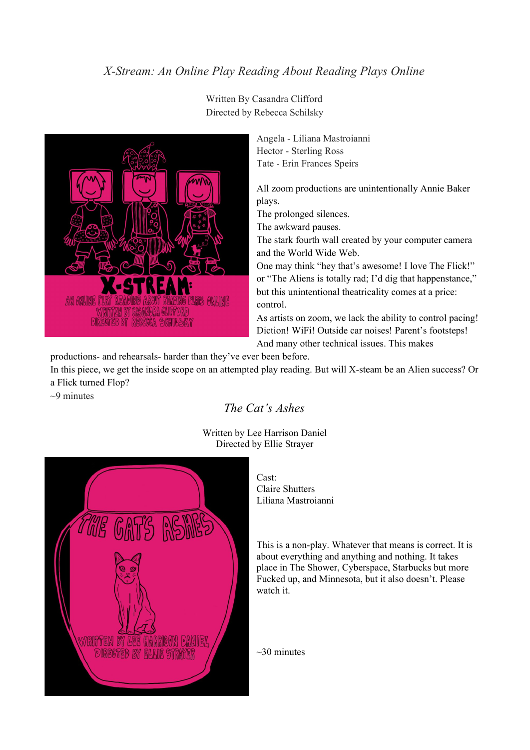#### *X-Stream: An Online Play Reading About Reading Plays Online*



Written By Casandra Clifford Directed by Rebecca Schilsky

> Angela - Liliana Mastroianni Hector - Sterling Ross Tate - Erin Frances Speirs

All zoom productions are unintentionally Annie Baker plays.

The prolonged silences.

The awkward pauses.

The stark fourth wall created by your computer camera and the World Wide Web.

One may think "hey that's awesome! I love The Flick!" or "The Aliens is totally rad; I'd dig that happenstance," but this unintentional theatricality comes at a price: control.

As artists on zoom, we lack the ability to control pacing! Diction! WiFi! Outside car noises! Parent's footsteps! And many other technical issues. This makes

productions- and rehearsals- harder than they've ever been before.

In this piece, we get the inside scope on an attempted play reading. But will X-steam be an Alien success? Or a Flick turned Flop?

 $\sim$ 9 minutes

#### *The Cat's Ashes*

Written by Lee Harrison Daniel Directed by Ellie Strayer



Cast: Claire Shutters Liliana Mastroianni

This is a non-play. Whatever that means is correct. It is about everything and anything and nothing. It takes place in The Shower, Cyberspace, Starbucks but more Fucked up, and Minnesota, but it also doesn't. Please watch it.

 $\sim$ 30 minutes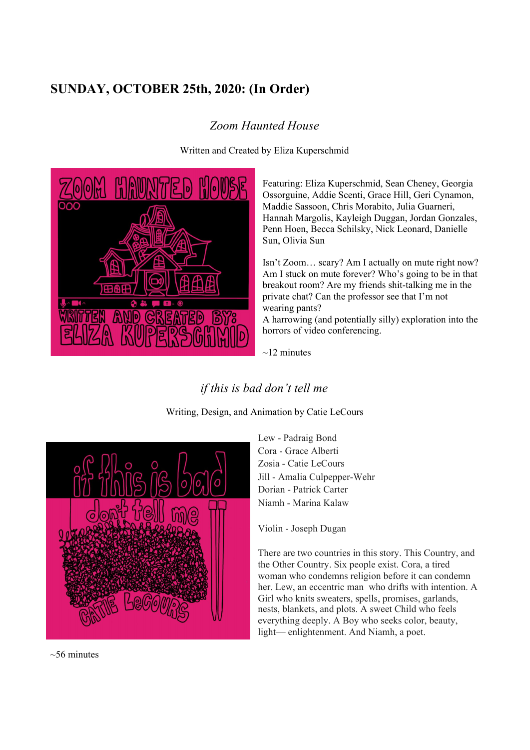# **SUNDAY, OCTOBER 25th, 2020: (In Order)**

## *Zoom Haunted House*



Written and Created by Eliza Kuperschmid

Featuring: Eliza Kuperschmid, Sean Cheney, Georgia Ossorguine, Addie Scenti, Grace Hill, Geri Cynamon, Maddie Sassoon, Chris Morabito, Julia Guarneri, Hannah Margolis, Kayleigh Duggan, Jordan Gonzales, Penn Hoen, Becca Schilsky, Nick Leonard, Danielle Sun, Olivia Sun

Isn't Zoom… scary? Am I actually on mute right now? Am I stuck on mute forever? Who's going to be in that breakout room? Are my friends shit-talking me in the private chat? Can the professor see that I'm not wearing pants?

A harrowing (and potentially silly) exploration into the horrors of video conferencing.

 $\sim$ 12 minutes

## *if this is bad don't tell me*

Writing, Design, and Animation by Catie LeCours



Lew - Padraig Bond Cora - Grace Alberti Zosia - Catie LeCours Jill - Amalia Culpepper-Wehr Dorian - Patrick Carter Niamh - Marina Kalaw

Violin - Joseph Dugan

There are two countries in this story. This Country, and the Other Country. Six people exist. Cora, a tired woman who condemns religion before it can condemn her. Lew, an eccentric man who drifts with intention. A Girl who knits sweaters, spells, promises, garlands, nests, blankets, and plots. A sweet Child who feels everything deeply. A Boy who seeks color, beauty, light— enlightenment. And Niamh, a poet.

 $~56$  minutes